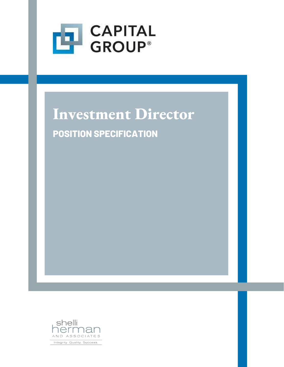

# **Investment Director**

**POSITION SPECIFICATION**

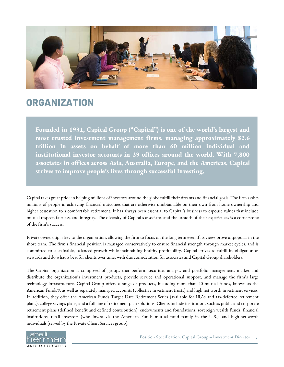

### **ORGANIZATION**

**Founded in 1931, Capital Group ("Capital") is one of the world's largest and most trusted investment management firms, managing approximately \$2.6 trillion in assets on behalf of more than 60 million individual and institutional investor accounts in 29 offices around the world. With 7,800 associates in offices across Asia, Australia, Europe, and the Americas, Capital strives to improve people's lives through successful investing.**

Capital takes great pride in helping millions of investors around the globe fulfill their dreams and financial goals. The firm assists millions of people in achieving financial outcomes that are otherwise unobtainable on their own from home ownership and higher education to a comfortable retirement. It has always been essential to Capital's business to espouse values that include mutual respect, fairness, and integrity. The diversity of Capital's associates and the breadth of their experiences is a cornerstone of the firm's success.

Private ownership is key to the organization, allowing the firm to focus on the long term even if its views prove unpopular in the short term. The firm's financial position is managed conservatively to ensure financial strength through market cycles, and is committed to sustainable, balanced growth while maintaining healthy profitability. Capital strives to fulfill its obligation as stewards and do what is best for clients over time, with due consideration for associates and Capital Group shareholders.

The Capital organization is composed of groups that perform securities analysis and portfolio management, market and distribute the organization's investment products, provide service and operational support, and manage the firm's large technology infrastructure. Capital Group offers a range of products, including more than 40 mutual funds, known as the American Funds®, as well as separately managed accounts (collective investment trusts) and high net worth investment services. In addition, they offer the American Funds Target Date Retirement Series (available for IRAs and tax-deferred retirement plans), college savings plans, and a full line of retirement plan solutions. Clients include institutions such as public and corporate retirement plans (defined benefit and defined contribution), endowments and foundations, sovereign wealth funds, financial institutions, retail investors (who invest via the American Funds mutual fund family in the U.S.), and high-net-worth individuals (served by the Private Client Services group).

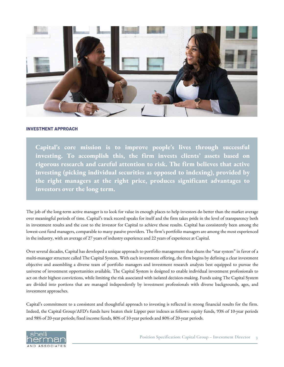

#### **INVESTMENT APPROACH**

**Capital's core mission is to improve people's lives through successful investing. To accomplish this, the firm invests clients' assets based on rigorous research and careful attention to risk. The firm believes that active investing (picking individual securities as opposed to indexing), provided by the right managers at the right price, produces significant advantages to investors over the long term.**

The job of the long-term active manager is to look for value in enough places to help investors do better than the market average over meaningful periods of time. Capital's track record speaks for itself and the firm takes pride in the level of transparency both in investment results and the cost to the investor for Capital to achieve those results. Capital has consistently been among the lowest-cost fund managers, comparable to many passive providers. The firm's portfolio managers are among the most experienced in the industry, with an average of 27 years of industry experience and 22 years of experience at Capital.

Over several decades, Capital has developed a unique approach to portfolio management that shuns the "star system" in favor of a multi-manager structure called The Capital System. With each investment offering, the firm begins by defining a clear investment objective and assembling a diverse team of portfolio managers and investment research analysts best equipped to pursue the universe of investment opportunities available. The Capital System is designed to enable individual investment professionals to act on their highest convictions, while limiting the risk associated with isolated decision-making. Funds using The Capital System are divided into portions that are managed independently by investment professionals with diverse backgrounds, ages, and investment approaches.

Capital's commitment to a consistent and thoughtful approach to investing is reflected in strong financial results for the firm. Indeed, the Capital Group/AFD's funds have beaten their Lipper peer indexes as follows: equity funds, 93% of 10-year periods and 98% of 20-year periods; fixed income funds, 80% of 10-year periods and 80% of 20-year periods.

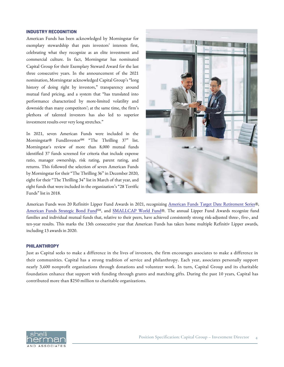#### **INDUSTRY RECOGNITION**

American Funds has been acknowledged by Morningstar for exemplary stewardship that puts investors' interests first, celebrating what they recognize as an elite investment and commercial culture. In fact, Morningstar has nominated Capital Group for their Exemplary Steward Award for the last three consecutive years. In the announcement of the 2021 nomination, Morningstar acknowledged Capital Group's "long history of doing right by investors," transparency around mutual fund pricing, and a system that "has translated into performance characterized by more-limited volatility and downside than many competitors'; at the same time, the firm's plethora of talented investors has also led to superior investment results over very long stretches."

In 2021, seven American Funds were included in the Morningstar® FundInvestor<sup>SM</sup> "The Thrilling 37" list. Morningstar's review of more than 8,000 mutual funds identified 37 funds screened for criteria that include expense ratio, manager ownership, risk rating, parent rating, and returns. This followed the selection of seven American Funds by Morningstar for their "The Thrilling 36" in December 2020, eight for their "The Thrilling 34" list in March of that year, and eight funds that were included in the organization's "28 Terrific Funds" list in 2018.



American Funds won 20 Refinitiv Lipper Fund Awards in 2021, recognizing [American Funds Target Date Retirement Series®](https://www.capitalgroup.com/advisor/investments/target-date-retirement-series.html), [American Funds Strategic Bond Fund](https://www.capitalgroup.com/advisor/investments/fund/rangx)<sup>SM</sup>, and [SMALLCAP World Fund](https://www.capitalgroup.com/advisor/investments/fund/rllgx)®. The annual Lipper Fund Awards recognize fund families and individual mutual funds that, relative to their peers, have achieved consistently strong risk-adjusted three-, five-, and ten-year results. This marks the 13th consecutive year that American Funds has taken home multiple Refinitiv Lipper awards, including 13 awards in 2020.

### **PHILANTHROPY**

Just as Capital seeks to make a difference in the lives of investors, the firm encourages associates to make a difference in their communities. Capital has a strong tradition of service and philanthropy. Each year, associates personally support nearly 3,600 nonprofit organizations through donations and volunteer work. In turn, Capital Group and its charitable foundation enhance that support with funding through grants and matching gifts. During the past 10 years, Capital has contributed more than \$250 million to charitable organizations.

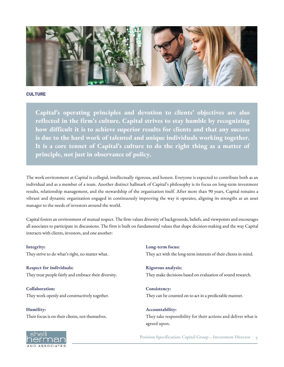

### **CULTURE**

**Capital's operating principles and devotion to clients' objectives are also reflected in the firm's culture. Capital strives to stay humble by recognizing how difficult it is to achieve superior results for clients and that any success is due to the hard work of talented and unique individuals working together. It is a core tennet of Capital's culture to do the right thing as a matter of principle, not just in observance of policy.**

The work environment at Capital is collegial, intellectually rigorous, and honest. Everyone is expected to contribute both as an individual and as a member of a team. Another distinct hallmark of Capital's philosophy is its focus on long-term investment results, relationship management, and the stewardship of the organization itself. After more than 90 years, Capital remains a vibrant and dynamic organization engaged in continuously improving the way it operates, aligning its strengths as an asset manager to the needs of investors around the world.

Capital fosters an environment of mutual respect. The firm values diversity of backgrounds, beliefs, and viewpoints and encourages all associates to participate in discussions. The firm is built on fundamental values that shape decision-making and the way Capital interacts with clients, investors, and one another:

**Integrity:** They strive to do what's right, no matter what.

**Respect for individuals:** They treat people fairly and embrace their diversity.

**Collaboration:** They work openly and constructively together.

**Humility:** Their focus is on their clients, not themselves. **Long-term focus:** They act with the long-term interests of their clients in mind.

**Rigorous analysis:** They make decisions based on evaluation of sound research.

**Consistency:** They can be counted on to act in a predictable manner.

**Accountability:** They take responsibility for their actions and deliver what is agreed upon.



**Position Specification: Capital Group – Investment Director 5**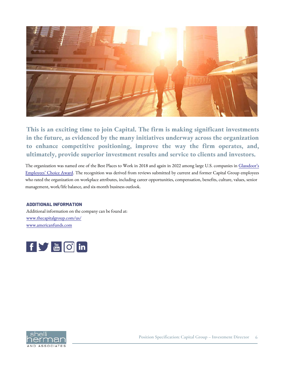

**This is an exciting time to join Capital. The firm is making significant investments in the future, as evidenced by the many initiatives underway across the organization to enhance competitive positioning, improve the way the firm operates, and, ultimately, provide superior investment results and service to clients and investors.**

The organization was named one of the Best Places to Work in 2018 and again in 2022 among large U.S. companies in Glassdoor's [Employees' Choice Award. The recognition was derived from reviews submitted by current and former Capital Group employee](http://www.glassdoor.com/Best-Places-to-Work-LST_KQ0,19.htm)s who rated the organization on workplace attributes, including career opportunities, compensation, benefits, culture, values, senior management, work/life balance, and six-month business outlook.

### **ADDITIONAL INFORMATION**

Additional information on the company can be found at: www.thecapitalgroup.com/us/ <www.americanfunds.com>



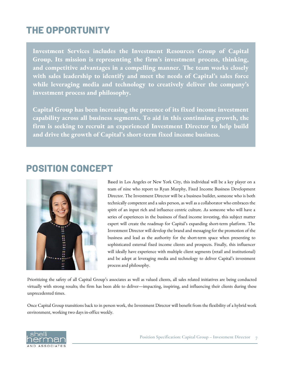# **THE OPPORTUNITY**

**Investment Services includes the Investment Resources Group of Capital Group. Its mission is representing the firm's investment process, thinking, and competitive advantages in a compelling manner. The team works closely with sales leadership to identify and meet the needs of Capital's sales force while leveraging media and technology to creatively deliver the company's investment process and philosophy.** 

**Capital Group has been increasing the presence of its fixed income investment capability across all business segments. To aid in this continuing growth, the firm is seeking to recruit an experienced Investment Director to help build and drive the growth of Capital's short-term fixed income business.**

### **POSITION CONCEPT**



Based in Los Angeles or New York City, this individual will be a key player on a team of nine who report to Ryan Murphy, Fixed Income Business Development Director. The Investment Director will be a business builder, someone who is both technically competent and a sales person, as well as a collaborator who embraces the spirit of an input rich and influence centric culture. As someone who will have a series of experiences in the business of fixed income investing, this subject matter expert will create the roadmap for Capital's expanding short-term platform. The Investment Director will develop the brand and messaging for the promotion of the business and lead as the authority for the short-term space when presenting to sophisticated external fixed income clients and prospects. Finally, this influencer will ideally have experience with multiple client segments (retail and institutional) and be adept at leveraging media and technology to deliver Capital's investment process and philosophy.

Prioritizing the safety of all Capital Group's associates as well as valued clients, all sales related initiatives are being conducted virtually with strong results; the firm has been able to deliver—impacting, inspiring, and influencing their clients during these unprecedented times.

Once Capital Group transitions back to in person work, the Investment Director will benefit from the flexibility of a hybrid work environment, working two days in-office weekly.

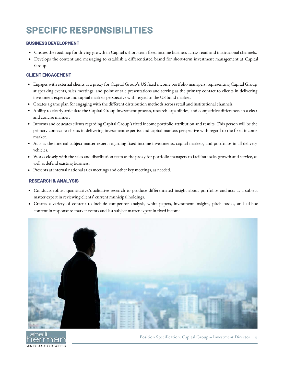# **SPECIFIC RESPONSIBILITIES**

### **BUSINESS DEVELOPMENT**

- Creates the roadmap for driving growth in Capital's short-term fixed income business across retail and institutional channels.
- Develops the content and messaging to establish a differentiated brand for short-term investment management at Capital Group.

### **CLIENT ENGAGEMENT**

- Engages with external clients as a proxy for Capital Group's US fixed income portfolio managers, representing Capital Group at speaking events, sales meetings, and point of sale presentations and serving as the primary contact to clients in delivering investment expertise and capital markets perspective with regard to the US bond market.
- Creates a game plan for engaging with the different distribution methods across retail and institutional channels.
- Ability to clearly articulate the Capital Group investment process, research capabilities, and competitive differences in a clear and concise manner.
- Informs and educates clients regarding Capital Group's fixed income portfolio attribution and results. This person will be the primary contact to clients in delivering investment expertise and capital markets perspective with regard to the fixed income market.
- Acts as the internal subject matter expert regarding fixed income investments, capital markets, and portfolios in all delivery vehicles.
- Works closely with the sales and distribution team as the proxy for portfolio managers to facilitate sales growth and service, as well as defend existing business.
- Presents at internal national sales meetings and other key meetings, as needed.

### **RESEARCH & ANALYSIS**

- Conducts robust quantitative/qualitative research to produce differentiated insight about portfolios and acts as a subject matter expert in reviewing clients' current municipal holdings.
- Creates a variety of content to include competitor analysis, white papers, investment insights, pitch books, and ad-hoc content in response to market events and is a subject matter expert in fixed income.



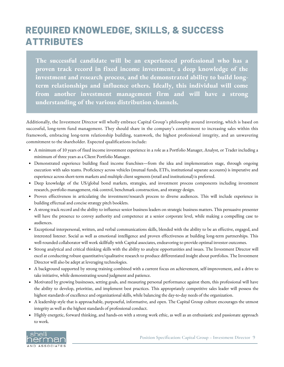# **REQUIRED KNOWLEDGE, SKILLS, & SUCCESS ATTRIBUTES**

**The successful candidate will be an experienced professional who has a proven track record in fixed income investment, a deep knowledge of the investment and research process, and the demonstrated ability to build longterm relationships and influence others. Ideally, this individual will come from another investment management firm and will have a strong understanding of the various distribution channels.**

Additionally, the Investment Director will wholly embrace Capital Group's philosophy around investing, which is based on successful, long-term fund management. They should share in the company's commitment to increasing sales within this framework, embracing long-term relationship building, teamwork, the highest professional integrity, and an unwavering commitment to the shareholder. Expected qualifications include:

- A minimum of 10 years of fixed income investment experience in a role as a Portfolio Manager, Analyst, or Trader including a minimum of three years as a Client Portfolio Manager.
- Demonstrated experience building fixed income franchises—from the idea and implementation stage, through ongoing execution with sales teams. Proficiency across vehicles (mutual funds, ETFs, institutional separate accounts) is imperative and experience across short-term markets and multiple client segments (retail and institutional) is preferred.
- Deep knowledge of the US/global bond markets, strategies, and investment process components including investment research, portfolio management, risk control, benchmark construction, and strategy design.
- Proven effectiveness in articulating the investment/research process to diverse audiences. This will include experience in building effectual and concise strategy pitch booklets.
- A strong track record and the ability to influence senior business leaders on strategic business matters. This persuasive presenter will have the presence to convey authority and competence at a senior corporate level, while making a compelling case to audiences.
- Exceptional interpersonal, written, and verbal communications skills, blended with the ability to be an effective, engaged, and interested listener. Social as well as emotional intelligence and proven effectiveness at building long-term partnerships. This well-rounded collaborator will work skillfully with Capital associates, endeavoring to provide optimal investor outcomes.
- Strong analytical and critical thinking skills with the ability to analyze opportunities and issues. The Investment Director will excel at conducting robust quantitative/qualitative research to produce differentiated insight about portfolios. The Investment Director will also be adept at leveraging technologies.
- A background supported by strong training combined with a current focus on achievement, self-improvement, and a drive to take initiative, while demonstrating sound judgment and patience.
- Motivated by growing businesses, setting goals, and measuring personal performance against them, this professional will have the ability to develop, prioritize, and implement best practices. This appropriately competitive sales leader will possess the highest standards of excellence and organizational skills, while balancing the day-to-day needs of the organization.
- A leadership style that is approachable, purposeful, informative, and open. The Capital Group culture encourages the utmost integrity as well as the highest standards of professional conduct.
- Highly energetic, forward thinking, and hands-on with a strong work ethic, as well as an enthusiastic and passionate approach to work.



**Position Specification: Capital Group – Investment Director 9**